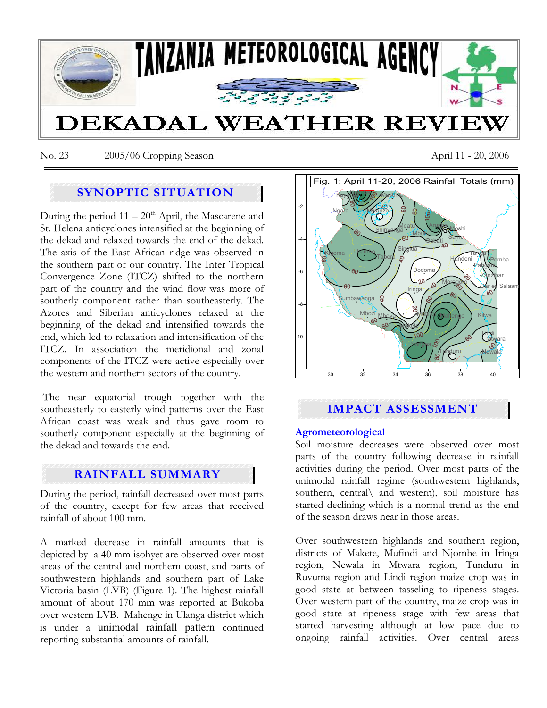

No. 23 2005/06 Cropping Season April 11 - 20, 2006

## **SYNOPTIC SITUATION**

During the period  $11 - 20<sup>th</sup>$  April, the Mascarene and St. Helena anticyclones intensified at the beginning of the dekad and relaxed towards the end of the dekad. The axis of the East African ridge was observed in the southern part of our country. The Inter Tropical Convergence Zone (ITCZ) shifted to the northern part of the country and the wind flow was more of southerly component rather than southeasterly. The Azores and Siberian anticyclones relaxed at the beginning of the dekad and intensified towards the end, which led to relaxation and intensification of the ITCZ. In association the meridional and zonal components of the ITCZ were active especially over the western and northern sectors of the country.

 The near equatorial trough together with the southeasterly to easterly wind patterns over the East African coast was weak and thus gave room to southerly component especially at the beginning of the dekad and towards the end.

# **RAINFALL SUMMARY**

During the period, rainfall decreased over most parts of the country, except for few areas that received rainfall of about 100 mm.

A marked decrease in rainfall amounts that is depicted by a 40 mm isohyet are observed over most areas of the central and northern coast, and parts of southwestern highlands and southern part of Lake Victoria basin (LVB) (Figure 1). The highest rainfall amount of about 170 mm was reported at Bukoba over western LVB. Mahenge in Ulanga district which is under a unimodal rainfall pattern continued reporting substantial amounts of rainfall.



# **IMPACT ASSESSMENT**

### **Agrometeorological**

Soil moisture decreases were observed over most parts of the country following decrease in rainfall activities during the period. Over most parts of the unimodal rainfall regime (southwestern highlands, southern, central\ and western), soil moisture has started declining which is a normal trend as the end of the season draws near in those areas.

Over southwestern highlands and southern region, districts of Makete, Mufindi and Njombe in Iringa region, Newala in Mtwara region, Tunduru in Ruvuma region and Lindi region maize crop was in good state at between tasseling to ripeness stages. Over western part of the country, maize crop was in good state at ripeness stage with few areas that started harvesting although at low pace due to ongoing rainfall activities. Over central areas